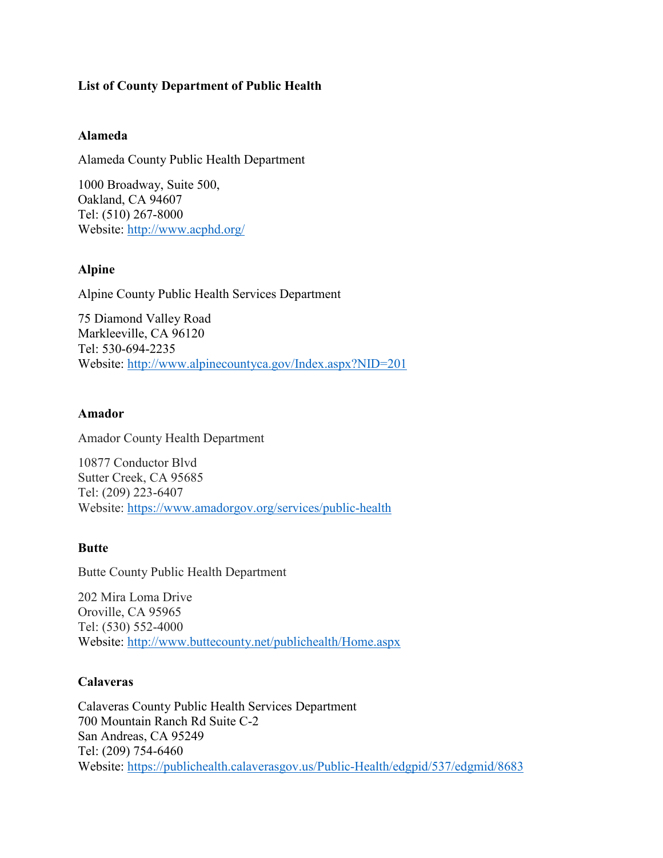## **List of County Department of Public Health**

## **Alameda**

Alameda County Public Health Department

1000 Broadway, Suite 500, Oakland, CA 94607 Tel: (510) 267-8000 Website:<http://www.acphd.org/>

## **Alpine**

Alpine County Public Health Services Department

75 Diamond Valley Road Markleeville, CA 96120 Tel: 530-694-2235 Website:<http://www.alpinecountyca.gov/Index.aspx?NID=201>

## **Amador**

Amador County Health Department

10877 Conductor Blvd Sutter Creek, CA 95685 Tel: (209) 223-6407 Website:<https://www.amadorgov.org/services/public-health>

## **Butte**

Butte County Public Health Department

202 Mira Loma Drive Oroville, CA 95965 Tel: (530) 552-4000 Website:<http://www.buttecounty.net/publichealth/Home.aspx>

## **Calaveras**

Calaveras County Public Health Services Department 700 Mountain Ranch Rd Suite C-2 San Andreas, CA 95249 Tel: (209) 754-6460 Website:<https://publichealth.calaverasgov.us/Public-Health/edgpid/537/edgmid/8683>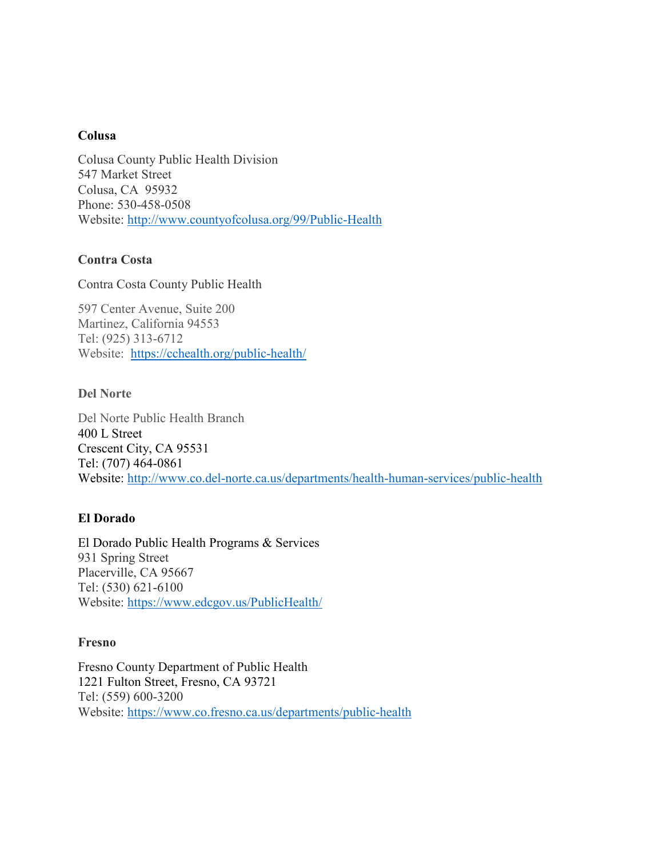### **Colusa**

Colusa County Public Health Division 547 Market Street Colusa, CA 95932 Phone: 530-458-0508 Website:<http://www.countyofcolusa.org/99/Public-Health>

## **Contra Costa**

Contra Costa County Public Health

597 Center Avenue, Suite 200 Martinez, California 94553 Tel: (925) 313-6712 Website: <https://cchealth.org/public-health/>

## **Del Norte**

Del Norte Public Health Branch 400 L Street Crescent City, CA 95531 Tel: (707) 464-0861 Website:<http://www.co.del-norte.ca.us/departments/health-human-services/public-health>

## **El Dorado**

El Dorado Public Health Programs & Services 931 Spring Street Placerville, CA 95667 Tel: (530) 621-6100 Website:<https://www.edcgov.us/PublicHealth/>

## **Fresno**

Fresno County Department of Public Health 1221 Fulton Street, Fresno, CA 93721 Tel: (559) 600-3200 Website: <https://www.co.fresno.ca.us/departments/public-health>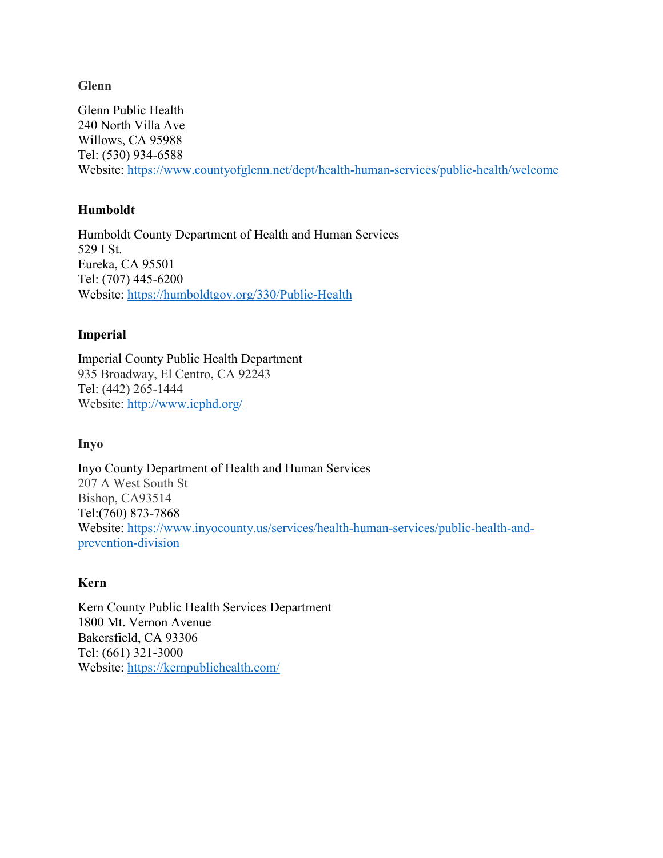## **Glenn**

Glenn Public Health 240 North Villa Ave Willows, CA 95988 Tel: (530) 934-6588 Website:<https://www.countyofglenn.net/dept/health-human-services/public-health/welcome>

## **Humboldt**

Humboldt County Department of Health and Human Services 529 I St. Eureka, CA 95501 Tel: (707) 445-6200 Website:<https://humboldtgov.org/330/Public-Health>

## **Imperial**

Imperial County Public Health Department 935 Broadway, El Centro, CA 92243 Tel: (442) 265-1444 Website:<http://www.icphd.org/>

## **Inyo**

Inyo County Department of Health and Human Services 207 A West South St Bishop, CA93514 Tel:(760) 873-7868 Website: [https://www.inyocounty.us/services/health-human-services/public-health-and](https://www.inyocounty.us/services/health-human-services/public-health-and-prevention-division)[prevention-division](https://www.inyocounty.us/services/health-human-services/public-health-and-prevention-division)

## **Kern**

Kern County Public Health Services Department [1800 Mt. Vernon Avenue](https://www.google.com/maps/dir/1800+Mt+Vernon+Ave,+Bakersfield,+CA+93306/@35.3836385,-118.9700296,17z/) Bakersfield, CA 93306 Tel: (661) 321-3000 Website:<https://kernpublichealth.com/>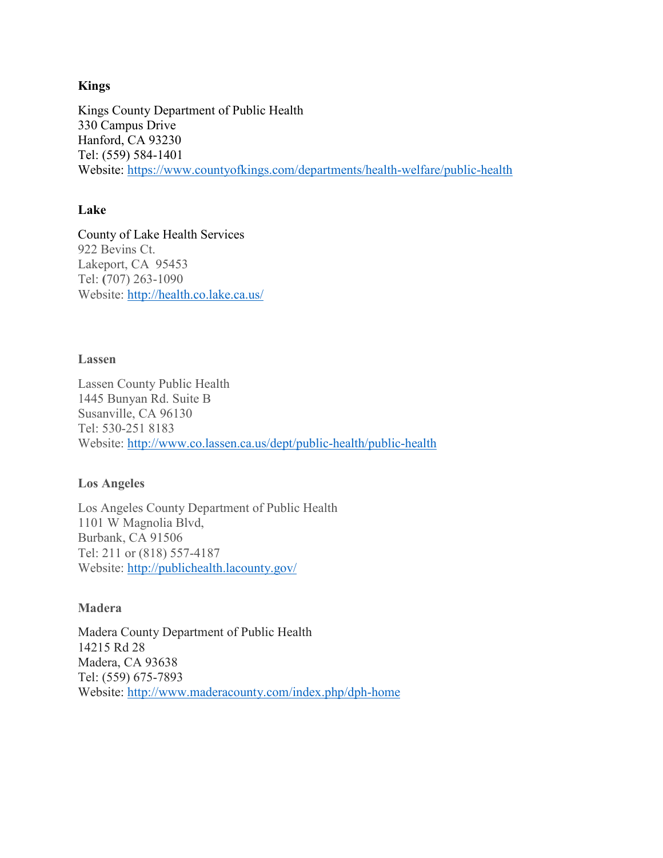## **Kings**

Kings County Department of Public Health 330 Campus Drive Hanford, CA 93230 Tel: (559) 584-1401 Website:<https://www.countyofkings.com/departments/health-welfare/public-health>

## **Lake**

County of Lake Health Services 922 Bevins Ct. Lakeport, CA 95453 Tel: **(**707) 263-1090 Website:<http://health.co.lake.ca.us/>

## **Lassen**

Lassen County Public Health 1445 Bunyan Rd. Suite B Susanville, CA 96130 Tel: 530-251 8183 Website:<http://www.co.lassen.ca.us/dept/public-health/public-health>

## **Los Angeles**

Los Angeles County Department of Public Health 1101 W Magnolia Blvd, Burbank, CA 91506 Tel: 211 or (818) 557-4187 Website:<http://publichealth.lacounty.gov/>

## **Madera**

Madera County Department of Public Health 14215 Rd 28 Madera, CA 93638 Tel: (559) 675-7893 Website:<http://www.maderacounty.com/index.php/dph-home>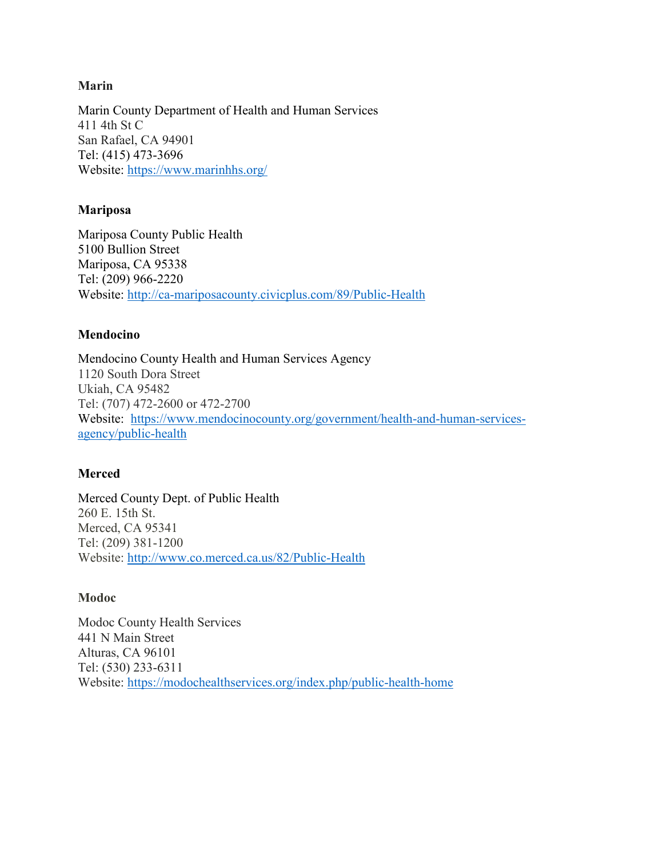Marin County Department of Health and Human Services 411 4th St C San Rafael, CA 94901 Tel: (415) 473-3696 Website:<https://www.marinhhs.org/>

## **Mariposa**

Mariposa County Public Health 5100 Bullion Street Mariposa, CA 95338 Tel: (209) 966-2220 Website:<http://ca-mariposacounty.civicplus.com/89/Public-Health>

## **Mendocino**

Mendocino County Health and Human Services Agency 1120 South Dora Street Ukiah, CA 95482 Tel: (707) 472-2600 or 472-2700 Website: [https://www.mendocinocounty.org/government/health-and-human-services](https://www.mendocinocounty.org/government/health-and-human-services-agency/public-health)[agency/public-health](https://www.mendocinocounty.org/government/health-and-human-services-agency/public-health)

# **Merced**

Merced County Dept. of Public Health 260 E. 15th St. Merced, CA 95341 Tel: (209) 381-1200 Website:<http://www.co.merced.ca.us/82/Public-Health>

## **Modoc**

Modoc County Health Services 441 N Main Street Alturas, CA 96101 Tel: (530) 233-6311 Website:<https://modochealthservices.org/index.php/public-health-home>

## **Marin**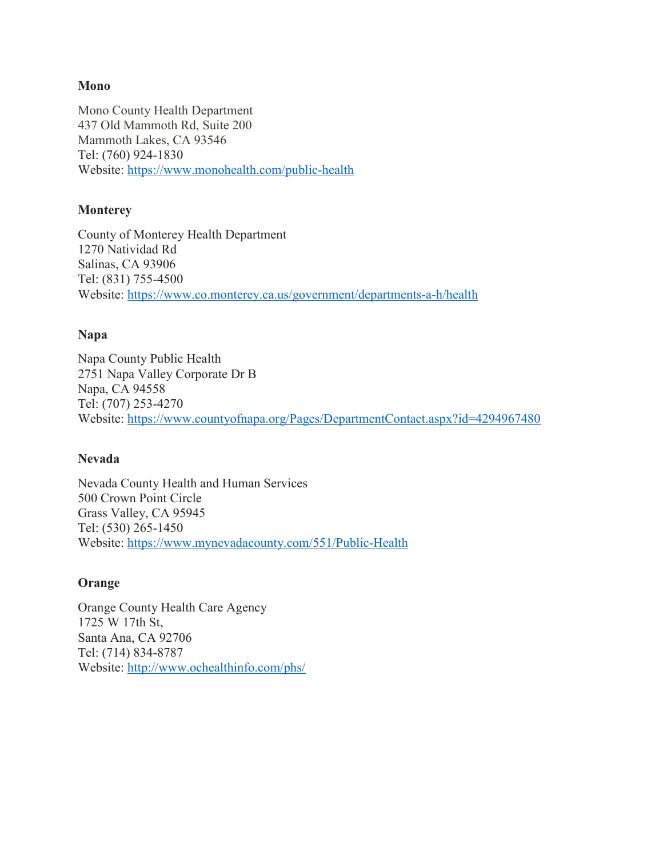### **Mono**

Mono County Health Department 437 Old Mammoth Rd, Suite 200 Mammoth Lakes, CA 93546 Tel: (760) 924-1830 Website:<https://www.monohealth.com/public-health>

### **Monterey**

County of Monterey Health Department 1270 Natividad Rd Salinas, CA 93906 Tel: (831) 755-4500 Website:<https://www.co.monterey.ca.us/government/departments-a-h/health>

#### **Napa**

Napa County Public Health 2751 Napa Valley Corporate Dr B Napa, CA 94558 Tel: (707) 253-4270 Website:<https://www.countyofnapa.org/Pages/DepartmentContact.aspx?id=4294967480>

#### **Nevada**

Nevada County Health and Human Services 500 Crown Point Circle Grass Valley, CA 95945 Tel: (530) 265-1450 Website:<https://www.mynevadacounty.com/551/Public-Health>

#### **Orange**

Orange County Health Care Agency 1725 W 17th St, Santa Ana, CA 92706 Tel: (714) 834-8787 Website:<http://www.ochealthinfo.com/phs/>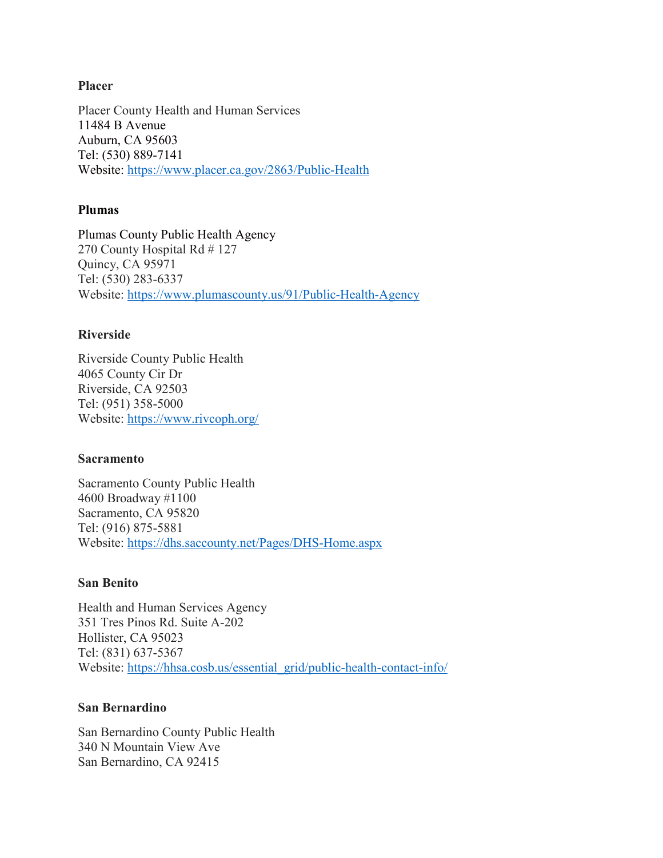#### **Placer**

Placer County Health and Human Services 11484 B Avenue Auburn, CA 95603 Tel: (530) 889-7141 Website:<https://www.placer.ca.gov/2863/Public-Health>

## **Plumas**

Plumas County Public Health Agency 270 County Hospital Rd # 127 Quincy, CA 95971 Tel: (530) 283-6337 Website:<https://www.plumascounty.us/91/Public-Health-Agency>

## **Riverside**

Riverside County Public Health 4065 County Cir Dr Riverside, CA 92503 Tel: (951) 358-5000 Website:<https://www.rivcoph.org/>

## **Sacramento**

Sacramento County Public Health 4600 Broadway #1100 Sacramento, CA 95820 Tel: (916) 875-5881 Website:<https://dhs.saccounty.net/Pages/DHS-Home.aspx>

## **San Benito**

Health and Human Services Agency 351 Tres Pinos Rd. Suite A-202 Hollister, CA 95023 Tel: (831) 637-5367 Website: [https://hhsa.cosb.us/essential\\_grid/public-health-contact-info/](https://hhsa.cosb.us/essential_grid/public-health-contact-info/)

## **San Bernardino**

San Bernardino County Public Health 340 N Mountain View Ave San Bernardino, CA 92415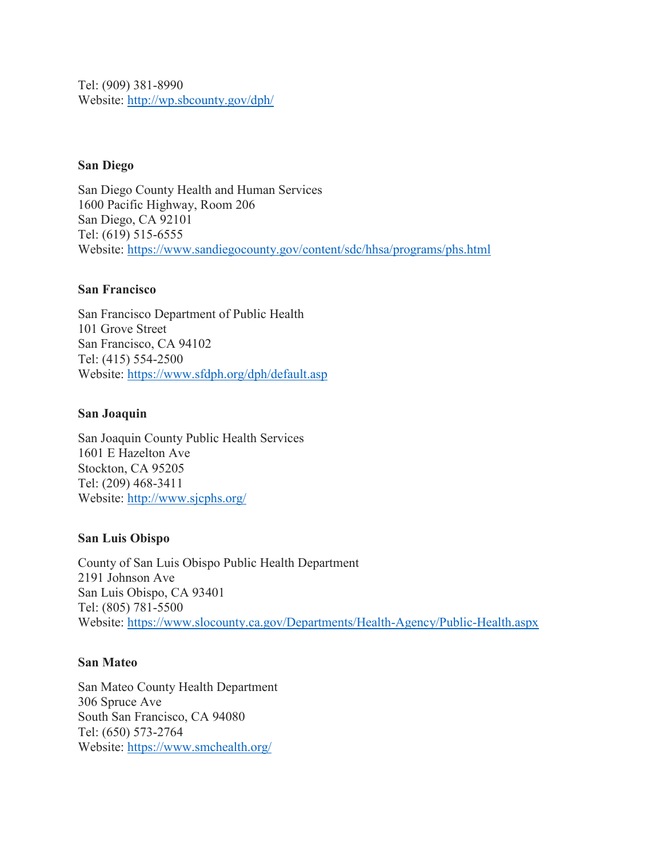Tel: (909) 381-8990 Website:<http://wp.sbcounty.gov/dph/>

## **San Diego**

San Diego County Health and Human Services 1600 Pacific Highway, Room 206 San Diego, CA 92101 Tel: (619) 515-6555 Website:<https://www.sandiegocounty.gov/content/sdc/hhsa/programs/phs.html>

## **San Francisco**

San Francisco Department of Public Health 101 Grove Street San Francisco, CA 94102 Tel: (415) 554-2500 Website:<https://www.sfdph.org/dph/default.asp>

## **San Joaquin**

San Joaquin County Public Health Services 1601 E Hazelton Ave Stockton, CA 95205 Tel: (209) 468-3411 Website:<http://www.sjcphs.org/>

## **San Luis Obispo**

County of San Luis Obispo Public Health Department 2191 Johnson Ave San Luis Obispo, CA 93401 Tel: (805) 781-5500 Website:<https://www.slocounty.ca.gov/Departments/Health-Agency/Public-Health.aspx>

## **San Mateo**

San Mateo County Health Department 306 Spruce Ave South San Francisco, CA 94080 Tel: (650) 573-2764 Website:<https://www.smchealth.org/>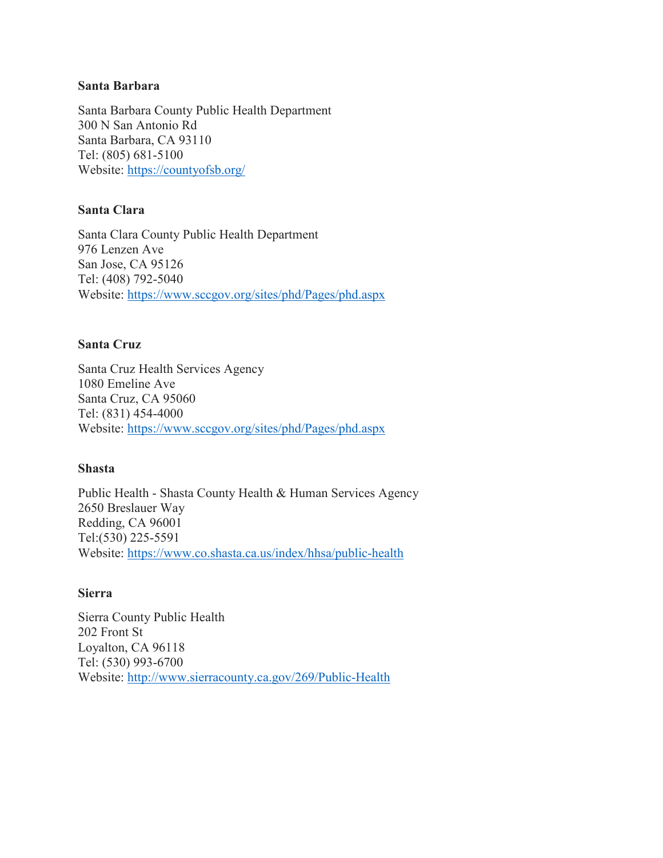#### **Santa Barbara**

Santa Barbara County Public Health Department 300 N San Antonio Rd Santa Barbara, CA 93110 Tel: (805) 681-5100 Website:<https://countyofsb.org/>

## **Santa Clara**

Santa Clara County Public Health Department 976 Lenzen Ave San Jose, CA 95126 Tel: (408) 792-5040 Website:<https://www.sccgov.org/sites/phd/Pages/phd.aspx>

## **Santa Cruz**

Santa Cruz Health Services Agency 1080 Emeline Ave Santa Cruz, CA 95060 Tel: (831) 454-4000 Website:<https://www.sccgov.org/sites/phd/Pages/phd.aspx>

## **Shasta**

Public Health - Shasta County Health & Human Services Agency 2650 Breslauer Way Redding, CA 96001 Tel:(530) 225-5591 Website:<https://www.co.shasta.ca.us/index/hhsa/public-health>

## **Sierra**

Sierra County Public Health 202 Front St Loyalton, CA 96118 Tel: (530) 993-6700 Website:<http://www.sierracounty.ca.gov/269/Public-Health>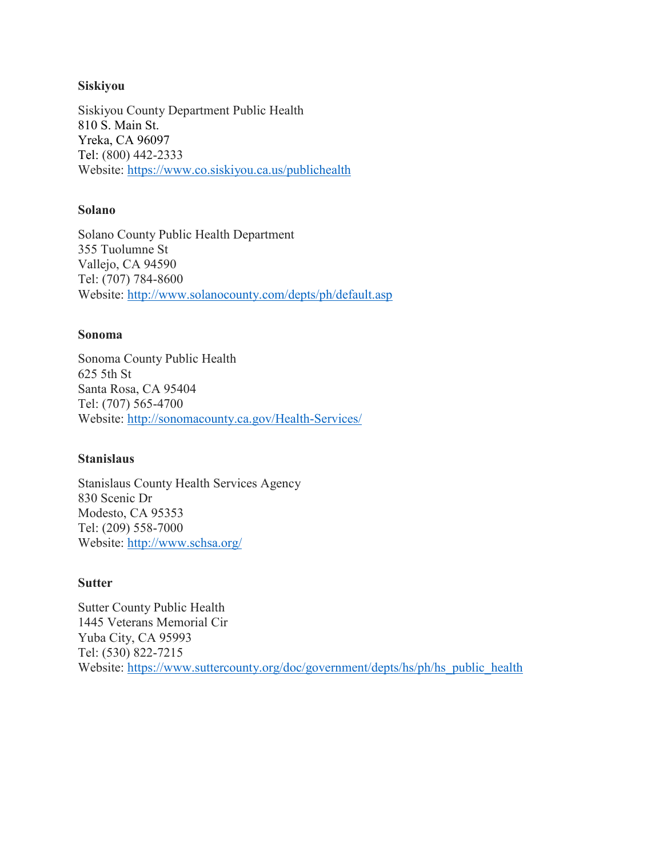### **Siskiyou**

Siskiyou County Department Public Health 810 S. Main St. Yreka, CA 96097 Tel: (800) 442-2333 Website:<https://www.co.siskiyou.ca.us/publichealth>

## **Solano**

Solano County Public Health Department 355 Tuolumne St Vallejo, CA 94590 Tel: (707) 784-8600 Website:<http://www.solanocounty.com/depts/ph/default.asp>

#### **Sonoma**

Sonoma County Public Health 625 5th St Santa Rosa, CA 95404 Tel: (707) 565-4700 Website:<http://sonomacounty.ca.gov/Health-Services/>

## **Stanislaus**

Stanislaus County Health Services Agency 830 Scenic Dr Modesto, CA 95353 Tel: (209) 558-7000 Website:<http://www.schsa.org/>

## **Sutter**

Sutter County Public Health 1445 Veterans Memorial Cir Yuba City, CA 95993 Tel: (530) 822-7215 Website: [https://www.suttercounty.org/doc/government/depts/hs/ph/hs\\_public\\_health](https://www.suttercounty.org/doc/government/depts/hs/ph/hs_public_health)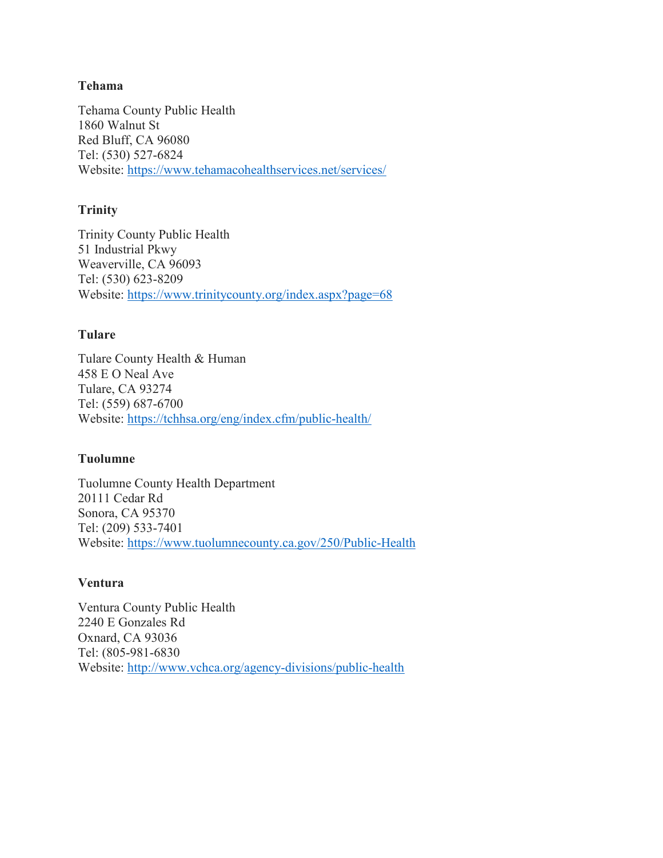## **Tehama**

Tehama County Public Health 1860 Walnut St Red Bluff, CA 96080 Tel: (530) 527-6824 Website:<https://www.tehamacohealthservices.net/services/>

## **Trinity**

Trinity County Public Health 51 Industrial Pkwy Weaverville, CA 96093 Tel: (530) 623-8209 Website:<https://www.trinitycounty.org/index.aspx?page=68>

## **Tulare**

Tulare County Health & Human 458 E O Neal Ave Tulare, CA 93274 Tel: (559) 687-6700 Website:<https://tchhsa.org/eng/index.cfm/public-health/>

## **Tuolumne**

Tuolumne County Health Department 20111 Cedar Rd Sonora, CA 95370 Tel: (209) 533-7401 Website:<https://www.tuolumnecounty.ca.gov/250/Public-Health>

## **Ventura**

Ventura County Public Health 2240 E Gonzales Rd Oxnard, CA 93036 Tel: (805-981-6830 Website:<http://www.vchca.org/agency-divisions/public-health>